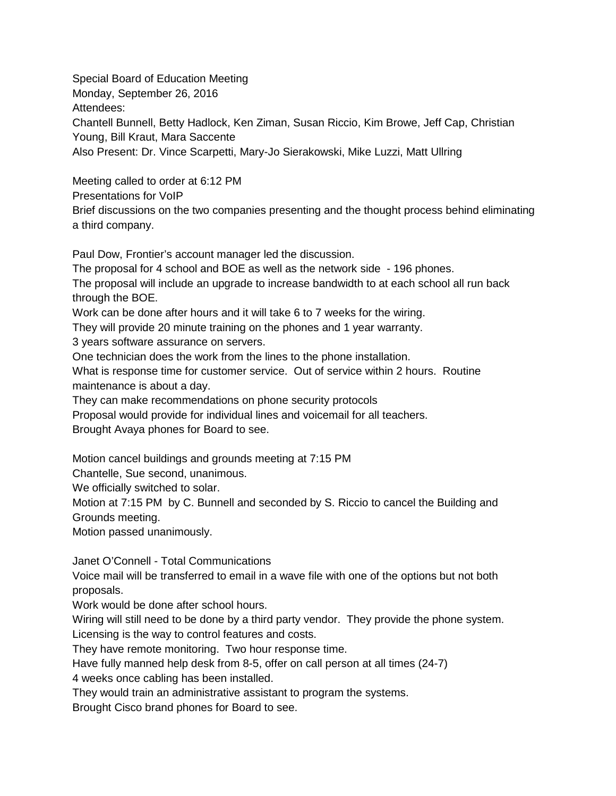Special Board of Education Meeting Monday, September 26, 2016 Attendees: Chantell Bunnell, Betty Hadlock, Ken Ziman, Susan Riccio, Kim Browe, Jeff Cap, Christian Young, Bill Kraut, Mara Saccente Also Present: Dr. Vince Scarpetti, Mary-Jo Sierakowski, Mike Luzzi, Matt Ullring

Meeting called to order at 6:12 PM Presentations for VoIP Brief discussions on the two companies presenting and the thought process behind eliminating a third company.

Paul Dow, Frontier's account manager led the discussion.

The proposal for 4 school and BOE as well as the network side - 196 phones.

The proposal will include an upgrade to increase bandwidth to at each school all run back through the BOE.

Work can be done after hours and it will take 6 to 7 weeks for the wiring.

They will provide 20 minute training on the phones and 1 year warranty.

3 years software assurance on servers.

One technician does the work from the lines to the phone installation.

What is response time for customer service. Out of service within 2 hours. Routine maintenance is about a day.

They can make recommendations on phone security protocols

Proposal would provide for individual lines and voicemail for all teachers.

Brought Avaya phones for Board to see.

Motion cancel buildings and grounds meeting at 7:15 PM

Chantelle, Sue second, unanimous.

We officially switched to solar.

Motion at 7:15 PM by C. Bunnell and seconded by S. Riccio to cancel the Building and Grounds meeting.

Motion passed unanimously.

Janet O'Connell - Total Communications

Voice mail will be transferred to email in a wave file with one of the options but not both proposals.

Work would be done after school hours.

Wiring will still need to be done by a third party vendor. They provide the phone system. Licensing is the way to control features and costs.

They have remote monitoring. Two hour response time.

Have fully manned help desk from 8-5, offer on call person at all times (24-7)

4 weeks once cabling has been installed.

They would train an administrative assistant to program the systems.

Brought Cisco brand phones for Board to see.